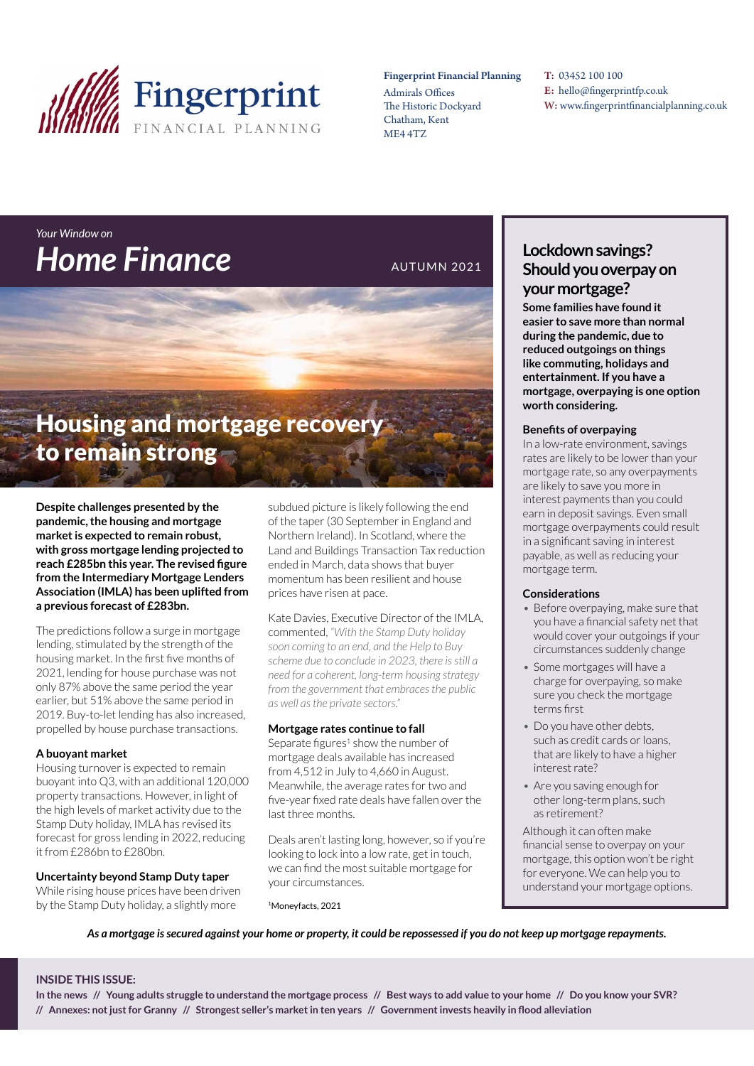

#### Fingerprint Financial Planning

Admirals Offices The Historic Dockyard Chatham, Kent ME4 4TZ

T: 03452 100 100 E: hello@fingerprintfp.co.uk W: www.fingerprintfinancialplanning.co.uk

## *Your Window on*  **Home Finance** AUTUMN 2021

## Housing and mortgage recovery to remain strong

**Despite challenges presented by the pandemic, the housing and mortgage market is expected to remain robust, with gross mortgage lending projected to reach £285bn this year. The revised figure from the Intermediary Mortgage Lenders Association (IMLA) has been uplifted from a previous forecast of £283bn.**

The predictions follow a surge in mortgage lending, stimulated by the strength of the housing market. In the first five months of 2021, lending for house purchase was not only 87% above the same period the year earlier, but 51% above the same period in 2019. Buy-to-let lending has also increased, propelled by house purchase transactions.

#### **A buoyant market**

Housing turnover is expected to remain buoyant into Q3, with an additional 120,000 property transactions. However, in light of the high levels of market activity due to the Stamp Duty holiday, IMLA has revised its forecast for gross lending in 2022, reducing it from £286bn to £280bn.

**Uncertainty beyond Stamp Duty taper**

While rising house prices have been driven by the Stamp Duty holiday, a slightly more

subdued picture is likely following the end of the taper (30 September in England and Northern Ireland). In Scotland, where the Land and Buildings Transaction Tax reduction ended in March, data shows that buyer momentum has been resilient and house prices have risen at pace.

Kate Davies, Executive Director of the IMLA, commented, *"With the Stamp Duty holiday soon coming to an end, and the Help to Buy scheme due to conclude in 2023, there is still a need for a coherent, long-term housing strategy from the government that embraces the public as well as the private sectors."*

#### **Mortgage rates continue to fall**

Separate figures<sup>1</sup> show the number of mortgage deals available has increased from 4,512 in July to 4,660 in August. Meanwhile, the average rates for two and five-year fixed rate deals have fallen over the last three months.

Deals aren't lasting long, however, so if you're looking to lock into a low rate, get in touch, we can find the most suitable mortgage for your circumstances.

1Moneyfacts, 2021

#### **Lockdown savings? Should you overpay on your mortgage?**

**Some families have found it easier to save more than normal during the pandemic, due to reduced outgoings on things like commuting, holidays and entertainment. If you have a mortgage, overpaying is one option worth considering.** 

#### **Benefits of overpaying**

In a low-rate environment, savings rates are likely to be lower than your mortgage rate, so any overpayments are likely to save you more in interest payments than you could earn in deposit savings. Even small mortgage overpayments could result in a significant saving in interest payable, as well as reducing your mortgage term.

#### **Considerations**

- *•* Before overpaying, make sure that you have a financial safety net that would cover your outgoings if your circumstances suddenly change
- *•* Some mortgages will have a charge for overpaying, so make sure you check the mortgage terms first
- *•* Do you have other debts, such as credit cards or loans, that are likely to have a higher interest rate?
- *•* Are you saving enough for other long-term plans, such as retirement?

Although it can often make financial sense to overpay on your mortgage, this option won't be right for everyone. We can help you to understand your mortgage options.

*As a mortgage is secured against your home or property, it could be repossessed if you do not keep up mortgage repayments.*

#### **INSIDE THIS ISSUE:**

**In the news // Young adults struggle to understand the mortgage process // Best ways to add value to your home // Do you know your SVR? // Annexes: not just for Granny // Strongest seller's market in ten years // Government invests heavily in flood alleviation**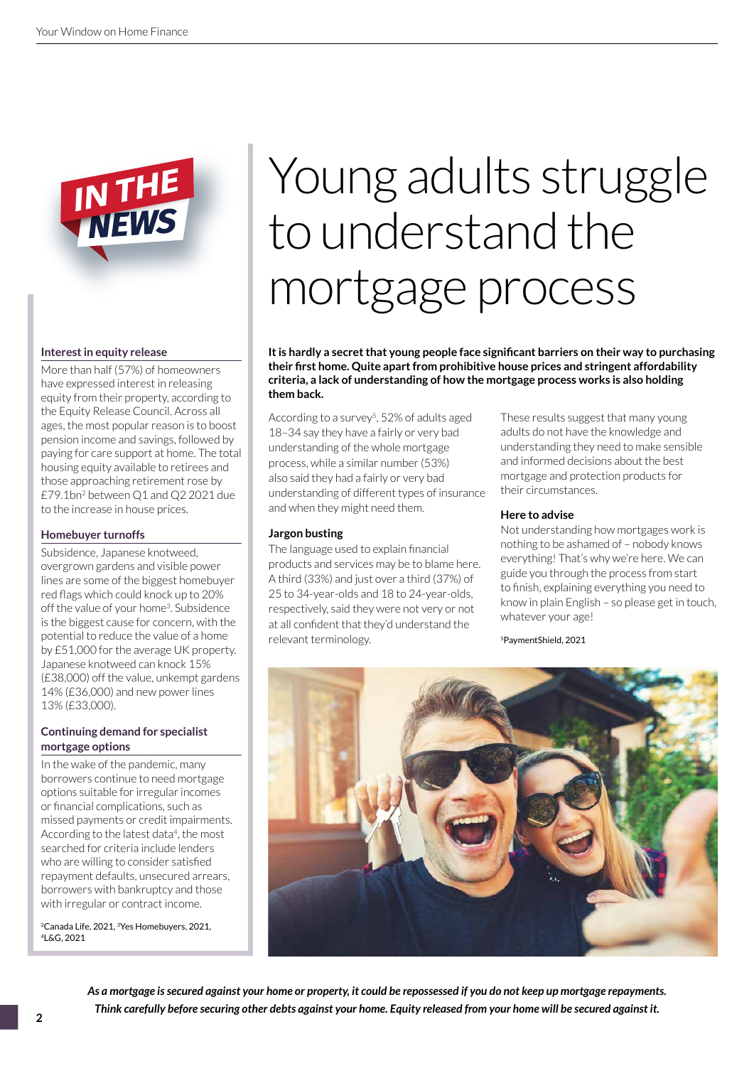

#### **Interest in equity release**

More than half (57%) of homeowners have expressed interest in releasing equity from their property, according to the Equity Release Council. Across all ages, the most popular reason is to boost pension income and savings, followed by paying for care support at home. The total housing equity available to retirees and those approaching retirement rose by £79.1bn2 between Q1 and Q2 2021 due to the increase in house prices.

#### **Homebuyer turnoffs**

Subsidence, Japanese knotweed, overgrown gardens and visible power lines are some of the biggest homebuyer red flags which could knock up to 20% off the value of your home3. Subsidence is the biggest cause for concern, with the potential to reduce the value of a home by £51,000 for the average UK property. Japanese knotweed can knock 15% (£38,000) off the value, unkempt gardens 14% (£36,000) and new power lines 13% (£33,000).

#### **Continuing demand for specialist mortgage options**

In the wake of the pandemic, many borrowers continue to need mortgage options suitable for irregular incomes or financial complications, such as missed payments or credit impairments. According to the latest data<sup>4</sup>, the most searched for criteria include lenders who are willing to consider satisfied repayment defaults, unsecured arrears, borrowers with bankruptcy and those with irregular or contract income.

2Canada Life, 2021, 3Yes Homebuyers, 2021, 4L&G, 2021

# Young adults struggle to understand the mortgage process

**It is hardly a secret that young people face significant barriers on their way to purchasing their first home. Quite apart from prohibitive house prices and stringent affordability criteria, a lack of understanding of how the mortgage process works is also holding them back.** 

According to a survey<sup>5</sup>, 52% of adults aged 18–34 say they have a fairly or very bad understanding of the whole mortgage process, while a similar number (53%) also said they had a fairly or very bad understanding of different types of insurance and when they might need them.

#### **Jargon busting**

The language used to explain financial products and services may be to blame here. A third (33%) and just over a third (37%) of 25 to 34-year-olds and 18 to 24-year-olds, respectively, said they were not very or not at all confident that they'd understand the relevant terminology.

These results suggest that many young adults do not have the knowledge and understanding they need to make sensible and informed decisions about the best mortgage and protection products for their circumstances.

#### **Here to advise**

Not understanding how mortgages work is nothing to be ashamed of – nobody knows everything! That's why we're here. We can guide you through the process from start to finish, explaining everything you need to know in plain English – so please get in touch, whatever your age!

5PaymentShield, 2021



*As a mortgage is secured against your home or property, it could be repossessed if you do not keep up mortgage repayments. Think carefully before securing other debts against your home. Equity released from your home will be secured against it.*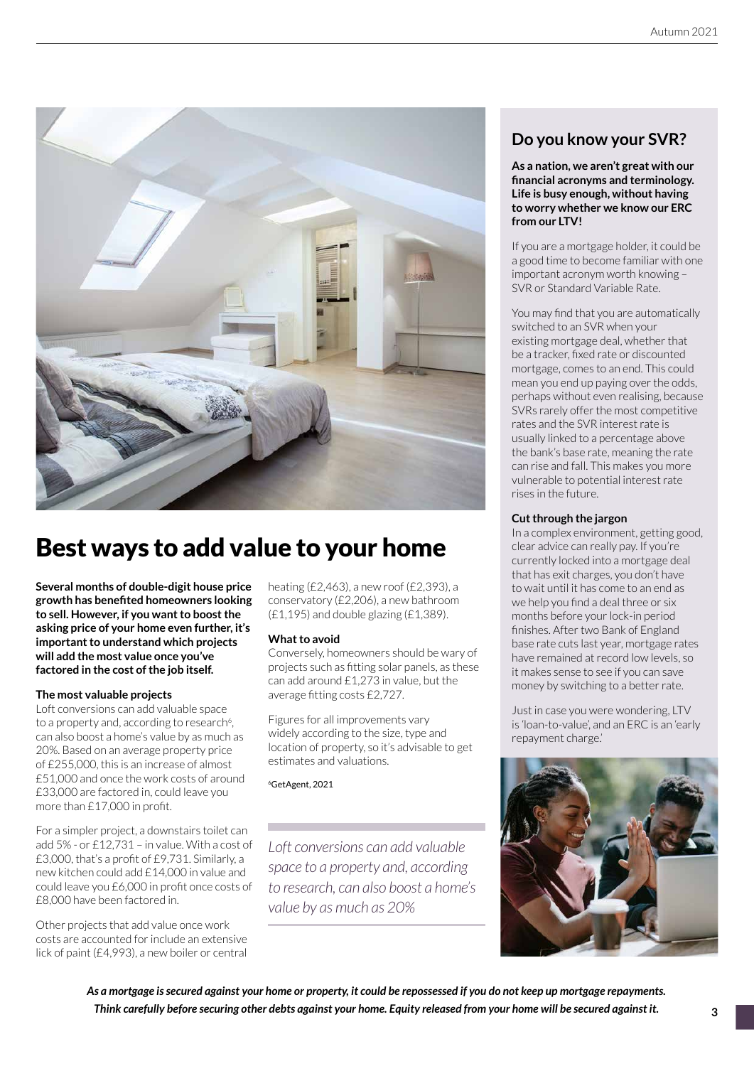

## Best ways to add value to your home

**Several months of double-digit house price growth has benefited homeowners looking to sell. However, if you want to boost the asking price of your home even further, it's important to understand which projects will add the most value once you've factored in the cost of the job itself.**

#### **The most valuable projects**

Loft conversions can add valuable space to a property and, according to research<sup>6</sup>, can also boost a home's value by as much as 20%. Based on an average property price of £255,000, this is an increase of almost £51,000 and once the work costs of around £33,000 are factored in, could leave you more than £17,000 in profit.

For a simpler project, a downstairs toilet can add 5% - or £12,731 – in value. With a cost of £3,000, that's a profit of £9,731. Similarly, a new kitchen could add £14,000 in value and could leave you £6,000 in profit once costs of £8,000 have been factored in.

Other projects that add value once work costs are accounted for include an extensive lick of paint (£4,993), a new boiler or central heating (£2,463), a new roof (£2,393), a conservatory (£2,206), a new bathroom  $(E1, 195)$  and double glazing  $(E1, 389)$ .

#### **What to avoid**

Conversely, homeowners should be wary of projects such as fitting solar panels, as these can add around £1,273 in value, but the average fitting costs £2,727.

Figures for all improvements vary widely according to the size, type and location of property, so it's advisable to get estimates and valuations.

6GetAgent, 2021

*Loft conversions can add valuable space to a property and, according to research, can also boost a home's value by as much as 20%*

#### **Do you know your SVR?**

**As a nation, we aren't great with our financial acronyms and terminology. Life is busy enough, without having to worry whether we know our ERC from our LTV!** 

If you are a mortgage holder, it could be a good time to become familiar with one important acronym worth knowing – SVR or Standard Variable Rate.

You may find that you are automatically switched to an SVR when your existing mortgage deal, whether that be a tracker, fixed rate or discounted mortgage, comes to an end. This could mean you end up paying over the odds, perhaps without even realising, because SVRs rarely offer the most competitive rates and the SVR interest rate is usually linked to a percentage above the bank's base rate, meaning the rate can rise and fall. This makes you more vulnerable to potential interest rate rises in the future.

#### **Cut through the jargon**

In a complex environment, getting good, clear advice can really pay. If you're currently locked into a mortgage deal that has exit charges, you don't have to wait until it has come to an end as we help you find a deal three or six months before your lock-in period finishes. After two Bank of England base rate cuts last year, mortgage rates have remained at record low levels, so it makes sense to see if you can save money by switching to a better rate.

Just in case you were wondering, LTV is 'loan-to-value', and an ERC is an 'early repayment charge.'



*As a mortgage is secured against your home or property, it could be repossessed if you do not keep up mortgage repayments. Think carefully before securing other debts against your home. Equity released from your home will be secured against it.*